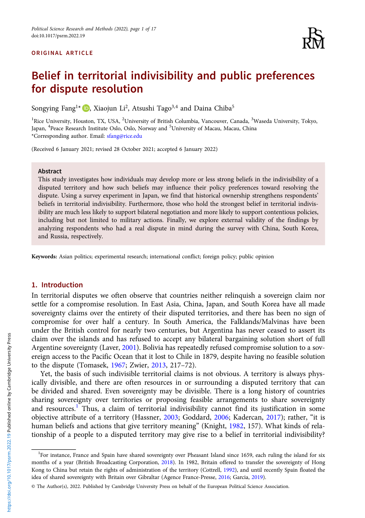#### ORIGINAL ARTICLE



# Belief in territorial indivisibility and public preferences for dispute resolution

Songying Fang<sup>1\*</sup>  $\bullet$ , Xiaojun Li<sup>2</sup>, Atsushi Tago<sup>3,4</sup> and Daina Chiba<sup>5</sup>

<sup>1</sup>Rice University, Houston, TX, USA, <sup>2</sup>University of British Columbia, Vancouver, Canada, <sup>3</sup>Waseda University, Tokyo, Japan, <sup>4</sup>Peace Research Institute Oslo, Oslo, Norway and <sup>5</sup>University of Macau, Macau, China \*Corresponding author. Email: [sfang@rice.edu](mailto:sfang@rice.edu)

(Received 6 January 2021; revised 28 October 2021; accepted 6 January 2022)

#### Abstract

This study investigates how individuals may develop more or less strong beliefs in the indivisibility of a disputed territory and how such beliefs may influence their policy preferences toward resolving the dispute. Using a survey experiment in Japan, we find that historical ownership strengthens respondents' beliefs in territorial indivisibility. Furthermore, those who hold the strongest belief in territorial indivisibility are much less likely to support bilateral negotiation and more likely to support contentious policies, including but not limited to military actions. Finally, we explore external validity of the findings by analyzing respondents who had a real dispute in mind during the survey with China, South Korea, and Russia, respectively.

Keywords: Asian politics; experimental research; international conflict; foreign policy; public opinion

## 1. Introduction

In territorial disputes we often observe that countries neither relinquish a sovereign claim nor settle for a compromise resolution. In East Asia, China, Japan, and South Korea have all made sovereignty claims over the entirety of their disputed territories, and there has been no sign of compromise for over half a century. In South America, the Falklands/Malvinas have been under the British control for nearly two centuries, but Argentina has never ceased to assert its claim over the islands and has refused to accept any bilateral bargaining solution short of full Argentine sovereignty (Laver, [2001](#page-15-0)). Bolivia has repeatedly refused compromise solution to a sovereign access to the Pacific Ocean that it lost to Chile in 1879, despite having no feasible solution to the dispute (Tomasek, [1967;](#page-16-0) Zwier, [2013](#page-16-0), 217–72).

Yet, the basis of such indivisible territorial claims is not obvious. A territory is always physically divisible, and there are often resources in or surrounding a disputed territory that can be divided and shared. Even sovereignty may be divisible. There is a long history of countries sharing sovereignty over territories or proposing feasible arrangements to share sovereignty and resources.<sup>1</sup> Thus, a claim of territorial indivisibility cannot find its justification in some objective attribute of a territory (Hassner, [2003;](#page-15-0) Goddard, [2006](#page-15-0); Kadercan, [2017\)](#page-15-0); rather, "it is human beliefs and actions that give territory meaning" (Knight, [1982](#page-15-0), 157). What kinds of relationship of a people to a disputed territory may give rise to a belief in territorial indivisibility?

<sup>&</sup>lt;sup>1</sup>For instance, France and Spain have shared sovereignty over Pheasant Island since 1659, each ruling the island for six months of a year (British Broadcasting Corporation, [2018\)](#page-15-0). In 1982, Britain offered to transfer the sovereignty of Hong Kong to China but retain the rights of administration of the territory (Cottrell, [1992](#page-15-0)), and until recently Spain floated the idea of shared sovereignty with Britain over Gibraltar (Agence France-Presse, [2016;](#page-15-0) Garcia, [2019](#page-15-0)).

<sup>©</sup> The Author(s), 2022. Published by Cambridge University Press on behalf of the European Political Science Association.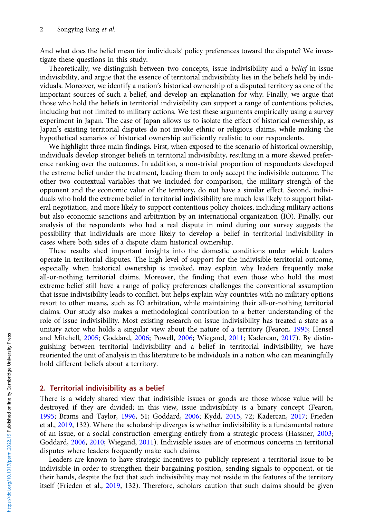And what does the belief mean for individuals' policy preferences toward the dispute? We investigate these questions in this study.

Theoretically, we distinguish between two concepts, issue indivisibility and a belief in issue indivisibility, and argue that the essence of territorial indivisibility lies in the beliefs held by individuals. Moreover, we identify a nation's historical ownership of a disputed territory as one of the important sources of such a belief, and develop an explanation for why. Finally, we argue that those who hold the beliefs in territorial indivisibility can support a range of contentious policies, including but not limited to military actions. We test these arguments empirically using a survey experiment in Japan. The case of Japan allows us to isolate the effect of historical ownership, as Japan's existing territorial disputes do not invoke ethnic or religious claims, while making the hypothetical scenarios of historical ownership sufficiently realistic to our respondents.

We highlight three main findings. First, when exposed to the scenario of historical ownership, individuals develop stronger beliefs in territorial indivisibility, resulting in a more skewed preference ranking over the outcomes. In addition, a non-trivial proportion of respondents developed the extreme belief under the treatment, leading them to only accept the indivisible outcome. The other two contextual variables that we included for comparison, the military strength of the opponent and the economic value of the territory, do not have a similar effect. Second, individuals who hold the extreme belief in territorial indivisibility are much less likely to support bilateral negotiation, and more likely to support contentious policy choices, including military actions but also economic sanctions and arbitration by an international organization (IO). Finally, our analysis of the respondents who had a real dispute in mind during our survey suggests the possibility that individuals are more likely to develop a belief in territorial indivisibility in cases where both sides of a dispute claim historical ownership.

These results shed important insights into the domestic conditions under which leaders operate in territorial disputes. The high level of support for the indivisible territorial outcome, especially when historical ownership is invoked, may explain why leaders frequently make all-or-nothing territorial claims. Moreover, the finding that even those who hold the most extreme belief still have a range of policy preferences challenges the conventional assumption that issue indivisibility leads to conflict, but helps explain why countries with no military options resort to other means, such as IO arbitration, while maintaining their all-or-nothing territorial claims. Our study also makes a methodological contribution to a better understanding of the role of issue indivisibility. Most existing research on issue indivisibility has treated a state as a unitary actor who holds a singular view about the nature of a territory (Fearon, [1995](#page-15-0); Hensel and Mitchell, [2005](#page-15-0); Goddard, [2006;](#page-15-0) Powell, [2006](#page-15-0); Wiegand, [2011](#page-16-0); Kadercan, [2017\)](#page-15-0). By distinguishing between territorial indivisibility and a belief in territorial indivisibility, we have reoriented the unit of analysis in this literature to be individuals in a nation who can meaningfully hold different beliefs about a territory.

## 2. Territorial indivisibility as a belief

There is a widely shared view that indivisible issues or goods are those whose value will be destroyed if they are divided; in this view, issue indivisibility is a binary concept (Fearon, [1995;](#page-15-0) Brams and Taylor, [1996](#page-15-0), 51; Goddard, [2006](#page-15-0); Kydd, [2015,](#page-15-0) 72; Kadercan, [2017;](#page-15-0) Frieden et al., [2019,](#page-15-0) 132). Where the scholarship diverges is whether indivisibility is a fundamental nature of an issue, or a social construction emerging entirely from a strategic process (Hassner, [2003](#page-15-0); Goddard, [2006,](#page-15-0) [2010;](#page-15-0) Wiegand, [2011\)](#page-16-0). Indivisible issues are of enormous concerns in territorial disputes where leaders frequently make such claims.

Leaders are known to have strategic incentives to publicly represent a territorial issue to be indivisible in order to strengthen their bargaining position, sending signals to opponent, or tie their hands, despite the fact that such indivisibility may not reside in the features of the territory itself (Frieden et al., [2019,](#page-15-0) 132). Therefore, scholars caution that such claims should be given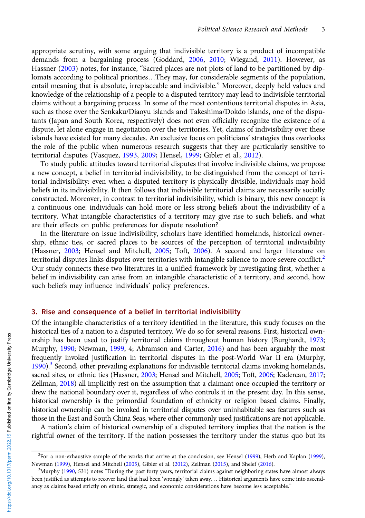appropriate scrutiny, with some arguing that indivisible territory is a product of incompatible demands from a bargaining process (Goddard, [2006,](#page-15-0) [2010;](#page-15-0) Wiegand, [2011](#page-16-0)). However, as Hassner [\(2003](#page-15-0)) notes, for instance, "Sacred places are not plots of land to be partitioned by diplomats according to political priorities…They may, for considerable segments of the population, entail meaning that is absolute, irreplaceable and indivisible." Moreover, deeply held values and knowledge of the relationship of a people to a disputed territory may lead to indivisible territorial claims without a bargaining process. In some of the most contentious territorial disputes in Asia, such as those over the Senkaku/Diaoyu islands and Takeshima/Dokdo islands, one of the disputants (Japan and South Korea, respectively) does not even officially recognize the existence of a dispute, let alone engage in negotiation over the territories. Yet, claims of indivisibility over these islands have existed for many decades. An exclusive focus on politicians' strategies thus overlooks the role of the public when numerous research suggests that they are particularly sensitive to territorial disputes (Vasquez, [1993](#page-16-0), [2009;](#page-16-0) Hensel, [1999;](#page-15-0) Gibler et al., [2012\)](#page-15-0).

To study public attitudes toward territorial disputes that involve indivisible claims, we propose a new concept, a belief in territorial indivisibility, to be distinguished from the concept of territorial indivisibility: even when a disputed territory is physically divisible, individuals may hold beliefs in its indivisibility. It then follows that indivisible territorial claims are necessarily socially constructed. Moreover, in contrast to territorial indivisibility, which is binary, this new concept is a continuous one: individuals can hold more or less strong beliefs about the indivisibility of a territory. What intangible characteristics of a territory may give rise to such beliefs, and what are their effects on public preferences for dispute resolution?

In the literature on issue indivisibility, scholars have identified homelands, historical ownership, ethnic ties, or sacred places to be sources of the perception of territorial indivisibility (Hassner, [2003](#page-15-0); Hensel and Mitchell, [2005;](#page-15-0) Toft, [2006\)](#page-16-0). A second and larger literature on territorial disputes links disputes over territories with intangible salience to more severe conflict.<sup>2</sup> Our study connects these two literatures in a unified framework by investigating first, whether a belief in indivisibility can arise from an intangible characteristic of a territory, and second, how such beliefs may influence individuals' policy preferences.

# 3. Rise and consequence of a belief in territorial indivisibility

Of the intangible characteristics of a territory identified in the literature, this study focuses on the historical ties of a nation to a disputed territory. We do so for several reasons. First, historical ownership has been used to justify territorial claims throughout human history (Burghardt, [1973](#page-15-0); Murphy, [1990](#page-15-0); Newman, [1999,](#page-15-0) 4; Abramson and Carter, [2016\)](#page-14-0) and has been arguably the most frequently invoked justification in territorial disputes in the post-World War II era (Murphy, [1990\)](#page-15-0).<sup>3</sup> Second, other prevailing explanations for indivisible territorial claims invoking homelands, sacred sites, or ethnic ties (Hassner, [2003;](#page-15-0) Hensel and Mitchell, [2005](#page-15-0); Toft, [2006](#page-16-0); Kadercan, [2017](#page-15-0); Zellman, [2018](#page-16-0)) all implicitly rest on the assumption that a claimant once occupied the territory or drew the national boundary over it, regardless of who controls it in the present day. In this sense, historical ownership is the primordial foundation of ethnicity or religion based claims. Finally, historical ownership can be invoked in territorial disputes over uninhabitable sea features such as those in the East and South China Seas, where other commonly used justifications are not applicable.

A nation's claim of historical ownership of a disputed territory implies that the nation is the rightful owner of the territory. If the nation possesses the territory under the status quo but its

<sup>2</sup> For a non-exhaustive sample of the works that arrive at the conclusion, see Hensel ([1999](#page-15-0)), Herb and Kaplan ([1999\)](#page-15-0), Newman ([1999\)](#page-15-0), Hensel and Mitchell [\(2005](#page-15-0)), Gibler et al. [\(2012](#page-15-0)), Zellman [\(2015\)](#page-16-0), and Shelef ([2016\)](#page-16-0).

 $<sup>3</sup>Murphy (1990, 531)$  $<sup>3</sup>Murphy (1990, 531)$  $<sup>3</sup>Murphy (1990, 531)$  notes "During the past forty years, territorial claims against neighboring states have almost always</sup> been justified as attempts to recover land that had been 'wrongly' taken away... Historical arguments have come into ascendancy as claims based strictly on ethnic, strategic, and economic considerations have become less acceptable."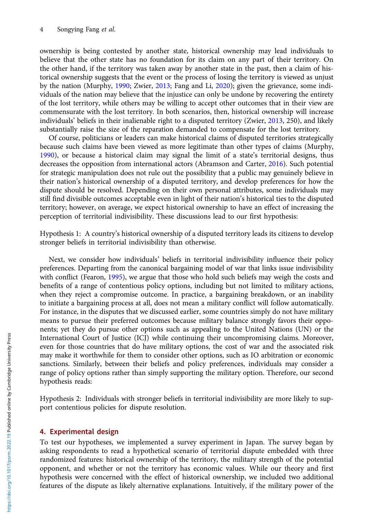ownership is being contested by another state, historical ownership may lead individuals to believe that the other state has no foundation for its claim on any part of their territory. On the other hand, if the territory was taken away by another state in the past, then a claim of historical ownership suggests that the event or the process of losing the territory is viewed as unjust by the nation (Murphy, [1990](#page-15-0); Zwier, [2013;](#page-16-0) Fang and Li, [2020](#page-15-0)); given the grievance, some individuals of the nation may believe that the injustice can only be undone by recovering the entirety of the lost territory, while others may be willing to accept other outcomes that in their view are commensurate with the lost territory. In both scenarios, then, historical ownership will increase individuals' beliefs in their inalienable right to a disputed territory (Zwier, [2013](#page-16-0), 250), and likely substantially raise the size of the reparation demanded to compensate for the lost territory.

Of course, politicians or leaders can make historical claims of disputed territories strategically because such claims have been viewed as more legitimate than other types of claims (Murphy, [1990\)](#page-15-0), or because a historical claim may signal the limit of a state's territorial designs, thus decreases the opposition from international actors (Abramson and Carter, [2016\)](#page-14-0). Such potential for strategic manipulation does not rule out the possibility that a public may genuinely believe in their nation's historical ownership of a disputed territory, and develop preferences for how the dispute should be resolved. Depending on their own personal attributes, some individuals may still find divisible outcomes acceptable even in light of their nation's historical ties to the disputed territory; however, on average, we expect historical ownership to have an effect of increasing the perception of territorial indivisibility. These discussions lead to our first hypothesis:

Hypothesis 1: A country's historical ownership of a disputed territory leads its citizens to develop stronger beliefs in territorial indivisibility than otherwise.

Next, we consider how individuals' beliefs in territorial indivisibility influence their policy preferences. Departing from the canonical bargaining model of war that links issue indivisibility with conflict (Fearon, [1995\)](#page-15-0), we argue that those who hold such beliefs may weigh the costs and benefits of a range of contentious policy options, including but not limited to military actions, when they reject a compromise outcome. In practice, a bargaining breakdown, or an inability to initiate a bargaining process at all, does not mean a military conflict will follow automatically. For instance, in the disputes that we discussed earlier, some countries simply do not have military means to pursue their preferred outcomes because military balance strongly favors their opponents; yet they do pursue other options such as appealing to the United Nations (UN) or the International Court of Justice (ICJ) while continuing their uncompromising claims. Moreover, even for those countries that do have military options, the cost of war and the associated risk may make it worthwhile for them to consider other options, such as IO arbitration or economic sanctions. Similarly, between their beliefs and policy preferences, individuals may consider a range of policy options rather than simply supporting the military option. Therefore, our second hypothesis reads:

Hypothesis 2: Individuals with stronger beliefs in territorial indivisibility are more likely to support contentious policies for dispute resolution.

# 4. Experimental design

To test our hypotheses, we implemented a survey experiment in Japan. The survey began by asking respondents to read a hypothetical scenario of territorial dispute embedded with three randomized features: historical ownership of the territory, the military strength of the potential opponent, and whether or not the territory has economic values. While our theory and first hypothesis were concerned with the effect of historical ownership, we included two additional features of the dispute as likely alternative explanations. Intuitively, if the military power of the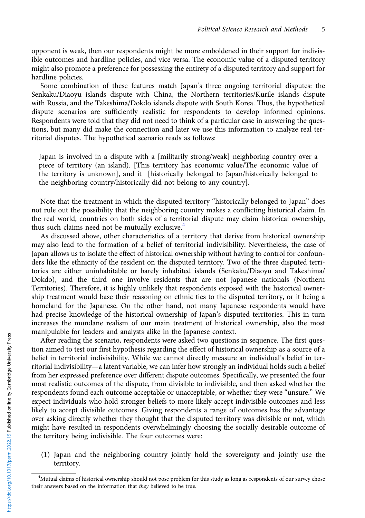opponent is weak, then our respondents might be more emboldened in their support for indivisible outcomes and hardline policies, and vice versa. The economic value of a disputed territory might also promote a preference for possessing the entirety of a disputed territory and support for hardline policies.

Some combination of these features match Japan's three ongoing territorial disputes: the Senkaku/Diaoyu islands dispute with China, the Northern territories/Kurile islands dispute with Russia, and the Takeshima/Dokdo islands dispute with South Korea. Thus, the hypothetical dispute scenarios are sufficiently realistic for respondents to develop informed opinions. Respondents were told that they did not need to think of a particular case in answering the questions, but many did make the connection and later we use this information to analyze real territorial disputes. The hypothetical scenario reads as follows:

Japan is involved in a dispute with a [militarily strong/weak] neighboring country over a piece of territory (an island). [This territory has economic value/The economic value of the territory is unknown], and it [historically belonged to Japan/historically belonged to the neighboring country/historically did not belong to any country].

Note that the treatment in which the disputed territory "historically belonged to Japan" does not rule out the possibility that the neighboring country makes a conflicting historical claim. In the real world, countries on both sides of a territorial dispute may claim historical ownership, thus such claims need not be mutually exclusive.<sup>4</sup>

As discussed above, other characteristics of a territory that derive from historical ownership may also lead to the formation of a belief of territorial indivisibility. Nevertheless, the case of Japan allows us to isolate the effect of historical ownership without having to control for confounders like the ethnicity of the resident on the disputed territory. Two of the three disputed territories are either uninhabitable or barely inhabited islands (Senkaku/Diaoyu and Takeshima/ Dokdo), and the third one involve residents that are not Japanese nationals (Northern Territories). Therefore, it is highly unlikely that respondents exposed with the historical ownership treatment would base their reasoning on ethnic ties to the disputed territory, or it being a homeland for the Japanese. On the other hand, not many Japanese respondents would have had precise knowledge of the historical ownership of Japan's disputed territories. This in turn increases the mundane realism of our main treatment of historical ownership, also the most manipulable for leaders and analysts alike in the Japanese context.

After reading the scenario, respondents were asked two questions in sequence. The first question aimed to test our first hypothesis regarding the effect of historical ownership as a source of a belief in territorial indivisibility. While we cannot directly measure an individual's belief in territorial indivisibility—a latent variable, we can infer how strongly an individual holds such a belief from her expressed preference over different dispute outcomes. Specifically, we presented the four most realistic outcomes of the dispute, from divisible to indivisible, and then asked whether the respondents found each outcome acceptable or unacceptable, or whether they were "unsure." We expect individuals who hold stronger beliefs to more likely accept indivisible outcomes and less likely to accept divisible outcomes. Giving respondents a range of outcomes has the advantage over asking directly whether they thought that the disputed territory was divisible or not, which might have resulted in respondents overwhelmingly choosing the socially desirable outcome of the territory being indivisible. The four outcomes were:

(1) Japan and the neighboring country jointly hold the sovereignty and jointly use the territory.

<sup>&</sup>lt;sup>4</sup>Mutual claims of historical ownership should not pose problem for this study as long as respondents of our survey chose their answers based on the information that they believed to be true.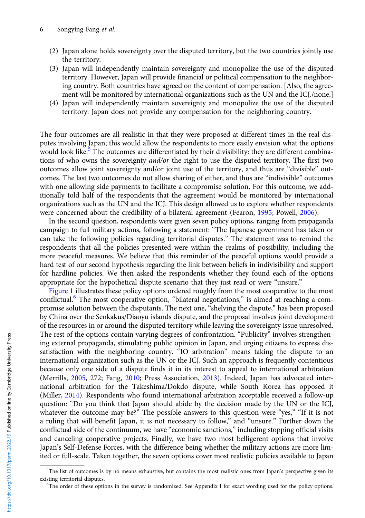- (2) Japan alone holds sovereignty over the disputed territory, but the two countries jointly use the territory.
- (3) Japan will independently maintain sovereignty and monopolize the use of the disputed territory. However, Japan will provide financial or political compensation to the neighboring country. Both countries have agreed on the content of compensation. [Also, the agreement will be monitored by international organizations such as the UN and the ICJ./none.]
- (4) Japan will independently maintain sovereignty and monopolize the use of the disputed territory. Japan does not provide any compensation for the neighboring country.

The four outcomes are all realistic in that they were proposed at different times in the real disputes involving Japan; this would allow the respondents to more easily envision what the options would look like.<sup>5</sup> The outcomes are differentiated by their divisibility: they are different combinations of who owns the sovereignty *and/or* the right to use the disputed territory. The first two outcomes allow joint sovereignty and/or joint use of the territory, and thus are "divisible" outcomes. The last two outcomes do not allow sharing of either, and thus are "indivisible" outcomes with one allowing side payments to facilitate a compromise solution. For this outcome, we additionally told half of the respondents that the agreement would be monitored by international organizations such as the UN and the ICJ. This design allowed us to explore whether respondents were concerned about the credibility of a bilateral agreement (Fearon, [1995;](#page-15-0) Powell, [2006](#page-15-0)).

In the second question, respondents were given seven policy options, ranging from propaganda campaign to full military actions, following a statement: "The Japanese government has taken or can take the following policies regarding territorial disputes." The statement was to remind the respondents that all the policies presented were within the realms of possibility, including the more peaceful measures. We believe that this reminder of the peaceful options would provide a hard test of our second hypothesis regarding the link between beliefs in indivisibility and support for hardline policies. We then asked the respondents whether they found each of the options appropriate for the hypothetical dispute scenario that they just read or were "unsure."

[Figure 1](#page-6-0) illustrates these policy options ordered roughly from the most cooperative to the most conflictual.<sup>6</sup> The most cooperative option, "bilateral negotiations," is aimed at reaching a compromise solution between the disputants. The next one, "shelving the dispute," has been proposed by China over the Senkakus/Diaoyu islands dispute, and the proposal involves joint development of the resources in or around the disputed territory while leaving the sovereignty issue unresolved. The rest of the options contain varying degrees of confrontation. "Publicity" involves strengthening external propaganda, stimulating public opinion in Japan, and urging citizens to express dissatisfaction with the neighboring country. "IO arbitration" means taking the dispute to an international organization such as the UN or the ICJ. Such an approach is frequently contentious because only one side of a dispute finds it in its interest to appeal to international arbitration (Merrills, [2005,](#page-15-0) 272; Fang, [2010;](#page-15-0) Press Association, [2013\)](#page-15-0). Indeed, Japan has advocated international arbitration for the Takeshima/Dokdo dispute, while South Korea has opposed it (Miller, [2014](#page-15-0)). Respondents who found international arbitration acceptable received a follow-up question: "Do you think that Japan should abide by the decision made by the UN or the ICJ, whatever the outcome may be?" The possible answers to this question were "yes," "If it is not a ruling that will benefit Japan, it is not necessary to follow," and "unsure." Further down the conflictual side of the continuum, we have "economic sanctions," including stopping official visits and canceling cooperative projects. Finally, we have two most belligerent options that involve Japan's Self-Defense Forces, with the difference being whether the military actions are more limited or full-scale. Taken together, the seven options cover most realistic policies available to Japan

<sup>&</sup>lt;sup>5</sup>The list of outcomes is by no means exhaustive, but contains the most realistic ones from Japan's perspective given its existing territorial disputes. <sup>6</sup>

<sup>&</sup>lt;sup>6</sup>The order of these options in the survey is randomized. See Appendix I for exact wording used for the policy options.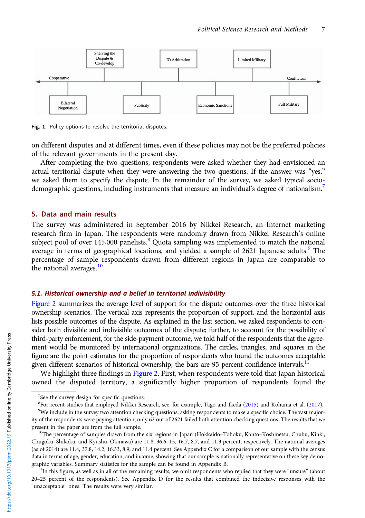<span id="page-6-0"></span>

Fig. 1. Policy options to resolve the territorial disputes.

on different disputes and at different times, even if these policies may not be the preferred policies of the relevant governments in the present day.

After completing the two questions, respondents were asked whether they had envisioned an actual territorial dispute when they were answering the two questions. If the answer was "yes," we asked them to specify the dispute. In the remainder of the survey, we asked typical sociodemographic questions, including instruments that measure an individual's degree of nationalism.<sup>7</sup>

#### 5. Data and main results

The survey was administered in September 2016 by Nikkei Research, an Internet marketing research firm in Japan. The respondents were randomly drawn from Nikkei Research's online subject pool of over 145,000 panelists.<sup>8</sup> Quota sampling was implemented to match the national average in terms of geographical locations, and yielded a sample of 2621 Japanese adults.<sup>9</sup> The percentage of sample respondents drawn from different regions in Japan are comparable to the national averages. $10$ 

#### 5.1. Historical ownership and a belief in territorial indivisibility

[Figure 2](#page-7-0) summarizes the average level of support for the dispute outcomes over the three historical ownership scenarios. The vertical axis represents the proportion of support, and the horizontal axis lists possible outcomes of the dispute. As explained in the last section, we asked respondents to consider both divisible and indivisible outcomes of the dispute; further, to account for the possibility of third-party enforcement, for the side-payment outcome, we told half of the respondents that the agreement would be monitored by international organizations. The circles, triangles, and squares in the figure are the point estimates for the proportion of respondents who found the outcomes acceptable given different scenarios of historical ownership; the bars are 95 percent confidence intervals.<sup>11</sup>

We highlight three findings in [Figure 2](#page-7-0). First, when respondents were told that Japan historical owned the disputed territory, a significantly higher proportion of respondents found the

<sup>&</sup>lt;sup>7</sup>See the survey design for specific questions.

<sup>&</sup>lt;sup>8</sup> For recent studies that employed Nikkei Research, see, for example, Tago and Ikeda [\(2015\)](#page-16-0) and Kohama et al. [\(2017\)](#page-15-0).<br><sup>9</sup> We include in the survey two attention checking questions asking respondents to make a specific c

<sup>&</sup>lt;sup>9</sup>We include in the survey two attention checking questions, asking respondents to make a specific choice. The vast majority of the respondents were paying attention; only 62 out of 2621 failed both attention checking questions. The results that we present in the paper are from the full sample.<br><sup>10</sup>The percentage of samples drawn from the six regions in Japan (Hokkaido–Tohoku, Kanto–Koshinetsu, Chubu, Kinki,

Chugoku–Shikoku, and Kyushu–Okinawa) are 11.8, 36.6, 15, 16.7, 8.7, and 11.3 percent, respectively. The national averages (as of 2014) are 11.4, 37.8, 14.2, 16.33, 8.9, and 11.4 percent. See Appendix C for a comparison of our sample with the census data in terms of age, gender, education, and income, showing that our sample is nationally representative on these key demographic variables. Summary statistics for the sample can be found in Appendix B.<br><sup>11</sup>In this figure, as well as in all of the remaining results, we omit respondents who replied that they were "unsure" (about

<sup>20</sup>–25 percent of the respondents). See Appendix D for the results that combined the indecisive responses with the "unacceptable" ones. The results were very similar.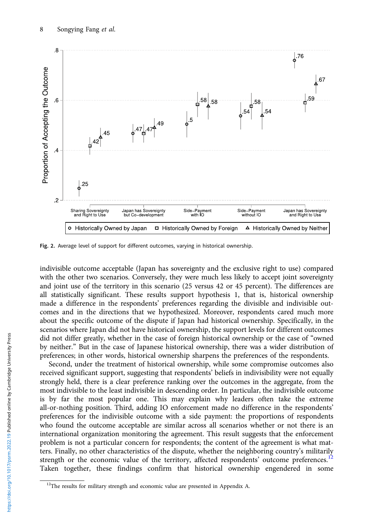<span id="page-7-0"></span>

Fig. 2. Average level of support for different outcomes, varying in historical ownership.

indivisible outcome acceptable (Japan has sovereignty and the exclusive right to use) compared with the other two scenarios. Conversely, they were much less likely to accept joint sovereignty and joint use of the territory in this scenario (25 versus 42 or 45 percent). The differences are all statistically significant. These results support hypothesis 1, that is, historical ownership made a difference in the respondents' preferences regarding the divisible and indivisible outcomes and in the directions that we hypothesized. Moreover, respondents cared much more about the specific outcome of the dispute if Japan had historical ownership. Specifically, in the scenarios where Japan did not have historical ownership, the support levels for different outcomes did not differ greatly, whether in the case of foreign historical ownership or the case of "owned by neither." But in the case of Japanese historical ownership, there was a wider distribution of preferences; in other words, historical ownership sharpens the preferences of the respondents.

Second, under the treatment of historical ownership, while some compromise outcomes also received significant support, suggesting that respondents' beliefs in indivisibility were not equally strongly held, there is a clear preference ranking over the outcomes in the aggregate, from the most indivisible to the least indivisible in descending order. In particular, the indivisible outcome is by far the most popular one. This may explain why leaders often take the extreme all-or-nothing position. Third, adding IO enforcement made no difference in the respondents' preferences for the indivisible outcome with a side payment: the proportions of respondents who found the outcome acceptable are similar across all scenarios whether or not there is an international organization monitoring the agreement. This result suggests that the enforcement problem is not a particular concern for respondents; the content of the agreement is what matters. Finally, no other characteristics of the dispute, whether the neighboring country's militarily strength or the economic value of the territory, affected respondents' outcome preferences.<sup>12</sup> Taken together, these findings confirm that historical ownership engendered in some

<sup>&</sup>lt;sup>12</sup>The results for military strength and economic value are presented in Appendix A.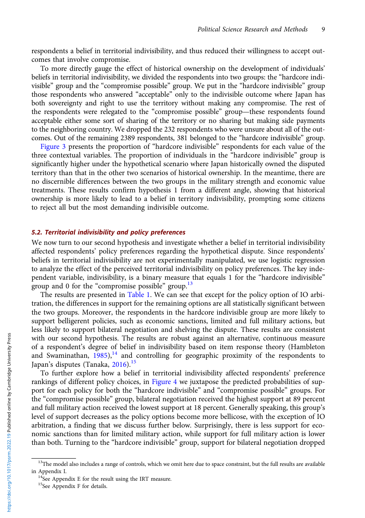respondents a belief in territorial indivisibility, and thus reduced their willingness to accept outcomes that involve compromise.

To more directly gauge the effect of historical ownership on the development of individuals' beliefs in territorial indivisibility, we divided the respondents into two groups: the "hardcore indivisible" group and the "compromise possible" group. We put in the "hardcore indivisible" group those respondents who answered "acceptable" only to the indivisible outcome where Japan has both sovereignty and right to use the territory without making any compromise. The rest of the respondents were relegated to the "compromise possible" group—these respondents found acceptable either some sort of sharing of the territory or no sharing but making side payments to the neighboring country. We dropped the 232 respondents who were unsure about all of the outcomes. Out of the remaining 2389 respondents, 381 belonged to the "hardcore indivisible" group.

[Figure 3](#page-9-0) presents the proportion of "hardcore indivisible" respondents for each value of the three contextual variables. The proportion of individuals in the "hardcore indivisible" group is significantly higher under the hypothetical scenario where Japan historically owned the disputed territory than that in the other two scenarios of historical ownership. In the meantime, there are no discernible differences between the two groups in the military strength and economic value treatments. These results confirm hypothesis 1 from a different angle, showing that historical ownership is more likely to lead to a belief in territory indivisibility, prompting some citizens to reject all but the most demanding indivisible outcome.

## 5.2. Territorial indivisibility and policy preferences

We now turn to our second hypothesis and investigate whether a belief in territorial indivisibility affected respondents' policy preferences regarding the hypothetical dispute. Since respondents' beliefs in territorial indivisibility are not experimentally manipulated, we use logistic regression to analyze the effect of the perceived territorial indivisibility on policy preferences. The key independent variable, indivisibility, is a binary measure that equals 1 for the "hardcore indivisible" group and 0 for the "compromise possible" group. $13$ 

The results are presented in [Table 1.](#page-9-0) We can see that except for the policy option of IO arbitration, the differences in support for the remaining options are all statistically significant between the two groups. Moreover, the respondents in the hardcore indivisible group are more likely to support belligerent policies, such as economic sanctions, limited and full military actions, but less likely to support bilateral negotiation and shelving the dispute. These results are consistent with our second hypothesis. The results are robust against an alternative, continuous measure of a respondent's degree of belief in indivisibility based on item response theory (Hambleton and Swaminathan,  $1985$ ),<sup>14</sup> and controlling for geographic proximity of the respondents to Japan's disputes (Tanaka,  $2016$ ).<sup>15</sup>

To further explore how a belief in territorial indivisibility affected respondents' preference rankings of different policy choices, in [Figure 4](#page-10-0) we juxtapose the predicted probabilities of support for each policy for both the "hardcore indivisible" and "compromise possible" groups. For the "compromise possible" group, bilateral negotiation received the highest support at 89 percent and full military action received the lowest support at 18 percent. Generally speaking, this group's level of support decreases as the policy options become more bellicose, with the exception of IO arbitration, a finding that we discuss further below. Surprisingly, there is less support for economic sanctions than for limited military action, while support for full military action is lower than both. Turning to the "hardcore indivisible" group, support for bilateral negotiation dropped

<sup>&</sup>lt;sup>13</sup>The model also includes a range of controls, which we omit here due to space constraint, but the full results are available in Appendix I.  $14$ See Appendix E for the result using the IRT measure.

<sup>&</sup>lt;sup>15</sup>See Appendix F for details.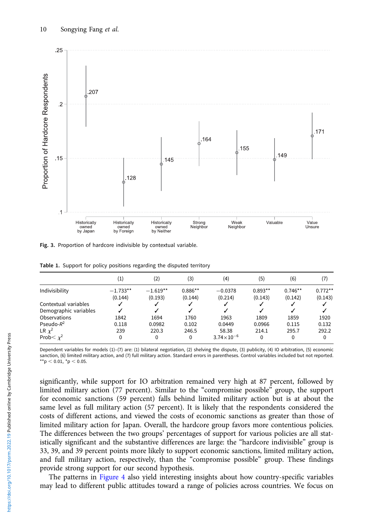<span id="page-9-0"></span>

Fig. 3. Proportion of hardcore indivisible by contextual variable.

|  | <b>Table 1.</b> Support for policy positions regarding the disputed territory |  |  |
|--|-------------------------------------------------------------------------------|--|--|
|  |                                                                               |  |  |

|                       | $\left( 1\right)$ | (2)        | (3)       | (4)                 | (5)       | (6)       | (7)       |
|-----------------------|-------------------|------------|-----------|---------------------|-----------|-----------|-----------|
| Indivisibility        | $-1.733**$        | $-1.619**$ | $0.886**$ | $-0.0378$           | $0.893**$ | $0.746**$ | $0.772**$ |
|                       | (0.144)           | (0.193)    | (0.144)   | (0.214)             | (0.143)   | (0.142)   | (0.143)   |
| Contextual variables  |                   |            |           |                     |           |           |           |
| Demographic variables |                   |            |           |                     |           |           |           |
| Observations          | 1842              | 1694       | 1760      | 1963                | 1809      | 1859      | 1920      |
| Pseudo- $R^2$         | 0.118             | 0.0982     | 0.102     | 0.0449              | 0.0966    | 0.115     | 0.132     |
| LR $\chi^2$           | 239               | 220.3      | 246.5     | 58.38               | 214.1     | 295.7     | 292.2     |
| Prob $\lt x^2$        | 0                 | 0          | 0         | $3.74\times10^{-6}$ | 0         | 0         | 0         |

Dependent variables for models (1)–(7) are: (1) bilateral negotiation, (2) shelving the dispute, (3) publicity, (4) IO arbitration, (5) economic sanction, (6) limited military action, and (7) full military action. Standard errors in parentheses. Control variables included but not reported.  $*$ \*p < 0.01, \*p < 0.05.

significantly, while support for IO arbitration remained very high at 87 percent, followed by limited military action (77 percent). Similar to the "compromise possible" group, the support for economic sanctions (59 percent) falls behind limited military action but is at about the same level as full military action (57 percent). It is likely that the respondents considered the costs of different actions, and viewed the costs of economic sanctions as greater than those of limited military action for Japan. Overall, the hardcore group favors more contentious policies. The differences between the two groups' percentages of support for various policies are all statistically significant and the substantive differences are large: the "hardcore indivisible" group is 33, 39, and 39 percent points more likely to support economic sanctions, limited military action, and full military action, respectively, than the "compromise possible" group. These findings provide strong support for our second hypothesis.

The patterns in [Figure 4](#page-10-0) also yield interesting insights about how country-specific variables may lead to different public attitudes toward a range of policies across countries. We focus on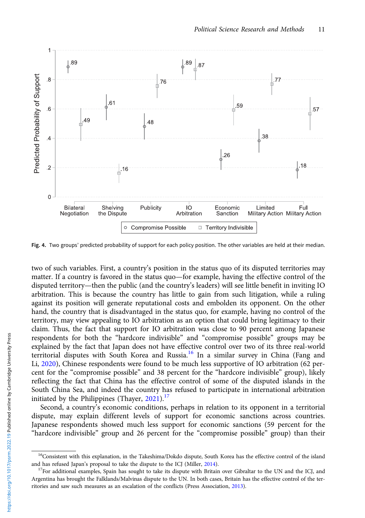<span id="page-10-0"></span>

Fig. 4. Two groups' predicted probability of support for each policy position. The other variables are held at their median.

two of such variables. First, a country's position in the status quo of its disputed territories may matter. If a country is favored in the status quo—for example, having the effective control of the disputed territory—then the public (and the country's leaders) will see little benefit in inviting IO arbitration. This is because the country has little to gain from such litigation, while a ruling against its position will generate reputational costs and embolden its opponent. On the other hand, the country that is disadvantaged in the status quo, for example, having no control of the territory, may view appealing to IO arbitration as an option that could bring legitimacy to their claim. Thus, the fact that support for IO arbitration was close to 90 percent among Japanese respondents for both the "hardcore indivisible" and "compromise possible" groups may be explained by the fact that Japan does not have effective control over two of its three real-world territorial disputes with South Korea and Russia.<sup>16</sup> In a similar survey in China (Fang and Li, [2020\)](#page-15-0), Chinese respondents were found to be much less supportive of IO arbitration (62 percent for the "compromise possible" and 38 percent for the "hardcore indivisible" group), likely reflecting the fact that China has the effective control of some of the disputed islands in the South China Sea, and indeed the country has refused to participate in international arbitration initiated by the Philippines (Thayer,  $2021$ ).<sup>17</sup>

Second, a country's economic conditions, perhaps in relation to its opponent in a territorial dispute, may explain different levels of support for economic sanctions across countries. Japanese respondents showed much less support for economic sanctions (59 percent for the "hardcore indivisible" group and 26 percent for the "compromise possible" group) than their

<sup>&</sup>lt;sup>16</sup>Consistent with this explanation, in the Takeshima/Dokdo dispute, South Korea has the effective control of the island and has refused Japan's proposal to take the dispute to the ICJ (Miller,  $2014$ ).<br><sup>17</sup>For additional examples, Spain has sought to take its dispute with Britain over Gibraltar to the UN and the ICJ, and

Argentina has brought the Falklands/Malvinas dispute to the UN. In both cases, Britain has the effective control of the territories and saw such measures as an escalation of the conflicts (Press Association, [2013\)](#page-15-0).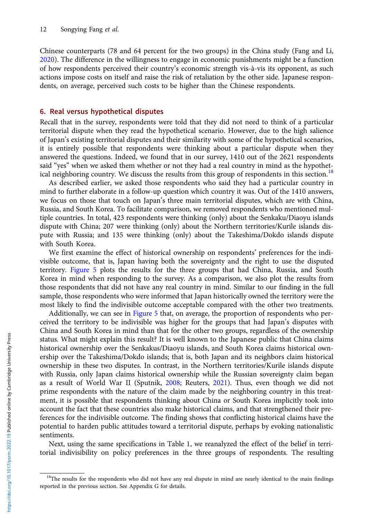Chinese counterparts (78 and 64 percent for the two groups) in the China study (Fang and Li, [2020\)](#page-15-0). The difference in the willingness to engage in economic punishments might be a function of how respondents perceived their country's economic strength vis-à-vis its opponent, as such actions impose costs on itself and raise the risk of retaliation by the other side. Japanese respondents, on average, perceived such costs to be higher than the Chinese respondents.

## 6. Real versus hypothetical disputes

Recall that in the survey, respondents were told that they did not need to think of a particular territorial dispute when they read the hypothetical scenario. However, due to the high salience of Japan's existing territorial disputes and their similarity with some of the hypothetical scenarios, it is entirely possible that respondents were thinking about a particular dispute when they answered the questions. Indeed, we found that in our survey, 1410 out of the 2621 respondents said "yes" when we asked them whether or not they had a real country in mind as the hypothetical neighboring country. We discuss the results from this group of respondents in this section.<sup>18</sup>

As described earlier, we asked those respondents who said they had a particular country in mind to further elaborate in a follow-up question which country it was. Out of the 1410 answers, we focus on those that touch on Japan's three main territorial disputes, which are with China, Russia, and South Korea. To facilitate comparison, we removed respondents who mentioned multiple countries. In total, 423 respondents were thinking (only) about the Senkaku/Diaoyu islands dispute with China; 207 were thinking (only) about the Northern territories/Kurile islands dispute with Russia; and 135 were thinking (only) about the Takeshima/Dokdo islands dispute with South Korea.

We first examine the effect of historical ownership on respondents' preferences for the indivisible outcome, that is, Japan having both the sovereignty and the right to use the disputed territory. [Figure 5](#page-12-0) plots the results for the three groups that had China, Russia, and South Korea in mind when responding to the survey. As a comparison, we also plot the results from those respondents that did not have any real country in mind. Similar to our finding in the full sample, those respondents who were informed that Japan historically owned the territory were the most likely to find the indivisible outcome acceptable compared with the other two treatments.

Additionally, we can see in [Figure 5](#page-12-0) that, on average, the proportion of respondents who perceived the territory to be indivisible was higher for the groups that had Japan's disputes with China and South Korea in mind than that for the other two groups, regardless of the ownership status. What might explain this result? It is well known to the Japanese public that China claims historical ownership over the Senkakus/Diaoyu islands, and South Korea claims historical ownership over the Takeshima/Dokdo islands; that is, both Japan and its neighbors claim historical ownership in these two disputes. In contrast, in the Northern territories/Kurile islands dispute with Russia, only Japan claims historical ownership while the Russian sovereignty claim began as a result of World War II (Sputnik, [2008](#page-16-0); Reuters, [2021\)](#page-16-0). Thus, even though we did not prime respondents with the nature of the claim made by the neighboring country in this treatment, it is possible that respondents thinking about China or South Korea implicitly took into account the fact that these countries also make historical claims, and that strengthened their preferences for the indivisible outcome. The finding shows that conflicting historical claims have the potential to harden public attitudes toward a territorial dispute, perhaps by evoking nationalistic sentiments.

Next, using the same specifications in Table 1, we reanalyzed the effect of the belief in territorial indivisibility on policy preferences in the three groups of respondents. The resulting

<sup>&</sup>lt;sup>18</sup>The results for the respondents who did not have any real dispute in mind are nearly identical to the main findings reported in the previous section. See Appendix G for details.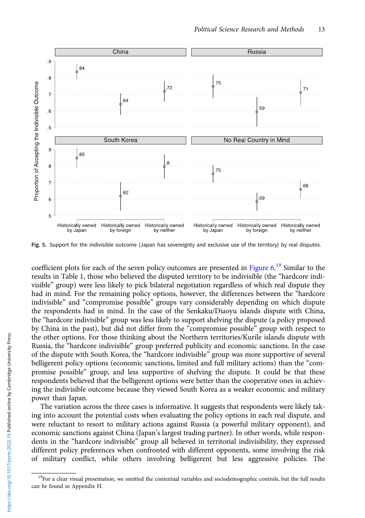<span id="page-12-0"></span>

Fig. 5. Support for the indivisible outcome (Japan has sovereignty and exclusive use of the territory) by real disputes.

coefficient plots for each of the seven policy outcomes are presented in [Figure 6.](#page-13-0)<sup>19</sup> Similar to the results in Table 1, those who believed the disputed territory to be indivisible (the "hardcore indivisible" group) were less likely to pick bilateral negotiation regardless of which real dispute they had in mind. For the remaining policy options, however, the differences between the "hardcore indivisible" and "compromise possible" groups vary considerably depending on which dispute the respondents had in mind. In the case of the Senkaku/Diaoyu islands dispute with China, the "hardcore indivisible" group was less likely to support shelving the dispute (a policy proposed by China in the past), but did not differ from the "compromise possible" group with respect to the other options. For those thinking about the Northern territories/Kurile islands dispute with Russia, the "hardcore indivisible" group preferred publicity and economic sanctions. In the case of the dispute with South Korea, the "hardcore indivisible" group was more supportive of several belligerent policy options (economic sanctions, limited and full military actions) than the "compromise possible" group, and less supportive of shelving the dispute. It could be that these respondents believed that the belligerent options were better than the cooperative ones in achieving the indivisible outcome because they viewed South Korea as a weaker economic and military power than Japan.

The variation across the three cases is informative. It suggests that respondents were likely taking into account the potential costs when evaluating the policy options in each real dispute, and were reluctant to resort to military actions against Russia (a powerful military opponent), and economic sanctions against China (Japan's largest trading partner). In other words, while respondents in the "hardcore indivisible" group all believed in territorial indivisibility, they expressed different policy preferences when confronted with different opponents, some involving the risk of military conflict, while others involving belligerent but less aggressive policies. The

<sup>&</sup>lt;sup>19</sup>For a clear visual presentation, we omitted the contextual variables and sociodemographic controls, but the full results can be found in Appendix H.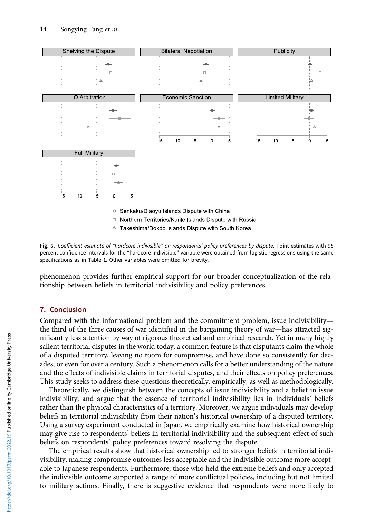<span id="page-13-0"></span>

Fig. 6. Coefficient estimate of "hardcore indivisible" on respondents' policy preferences by dispute. Point estimates with 95 percent confidence intervals for the "hardcore indivisible" variable were obtained from logistic regressions using the same specifications as in Table 1. Other variables were omitted for brevity.

phenomenon provides further empirical support for our broader conceptualization of the relationship between beliefs in territorial indivisibility and policy preferences.

# 7. Conclusion

Compared with the informational problem and the commitment problem, issue indivisibility the third of the three causes of war identified in the bargaining theory of war—has attracted significantly less attention by way of rigorous theoretical and empirical research. Yet in many highly salient territorial disputes in the world today, a common feature is that disputants claim the whole of a disputed territory, leaving no room for compromise, and have done so consistently for decades, or even for over a century. Such a phenomenon calls for a better understanding of the nature and the effects of indivisible claims in territorial disputes, and their effects on policy preferences. This study seeks to address these questions theoretically, empirically, as well as methodologically.

Theoretically, we distinguish between the concepts of issue indivisibility and a belief in issue indivisibility, and argue that the essence of territorial indivisibility lies in individuals' beliefs rather than the physical characteristics of a territory. Moreover, we argue individuals may develop beliefs in territorial indivisibility from their nation's historical ownership of a disputed territory. Using a survey experiment conducted in Japan, we empirically examine how historical ownership may give rise to respondents' beliefs in territorial indivisibility and the subsequent effect of such beliefs on respondents' policy preferences toward resolving the dispute.

The empirical results show that historical ownership led to stronger beliefs in territorial indivisibility, making compromise outcomes less acceptable and the indivisible outcome more acceptable to Japanese respondents. Furthermore, those who held the extreme beliefs and only accepted the indivisible outcome supported a range of more conflictual policies, including but not limited to military actions. Finally, there is suggestive evidence that respondents were more likely to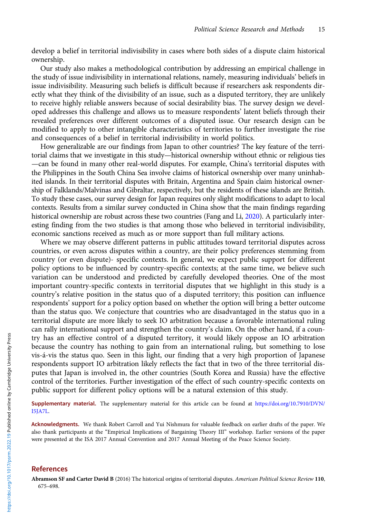<span id="page-14-0"></span>develop a belief in territorial indivisibility in cases where both sides of a dispute claim historical ownership.

Our study also makes a methodological contribution by addressing an empirical challenge in the study of issue indivisibility in international relations, namely, measuring individuals' beliefs in issue indivisibility. Measuring such beliefs is difficult because if researchers ask respondents directly what they think of the divisibility of an issue, such as a disputed territory, they are unlikely to receive highly reliable answers because of social desirability bias. The survey design we developed addresses this challenge and allows us to measure respondents' latent beliefs through their revealed preferences over different outcomes of a disputed issue. Our research design can be modified to apply to other intangible characteristics of territories to further investigate the rise and consequences of a belief in territorial indivisibility in world politics.

How generalizable are our findings from Japan to other countries? The key feature of the territorial claims that we investigate in this study—historical ownership without ethnic or religious ties —can be found in many other real-world disputes. For example, China's territorial disputes with the Philippines in the South China Sea involve claims of historical ownership over many uninhabited islands. In their territorial disputes with Britain, Argentina and Spain claim historical ownership of Falklands/Malvinas and Gibraltar, respectively, but the residents of these islands are British. To study these cases, our survey design for Japan requires only slight modifications to adapt to local contexts. Results from a similar survey conducted in China show that the main findings regarding historical ownership are robust across these two countries (Fang and Li, [2020\)](#page-15-0). A particularly interesting finding from the two studies is that among those who believed in territorial indivisibility, economic sanctions received as much as or more support than full military actions.

Where we may observe different patterns in public attitudes toward territorial disputes across countries, or even across disputes within a country, are their policy preferences stemming from country (or even dispute)- specific contexts. In general, we expect public support for different policy options to be influenced by country-specific contexts; at the same time, we believe such variation can be understood and predicted by carefully developed theories. One of the most important country-specific contexts in territorial disputes that we highlight in this study is a country's relative position in the status quo of a disputed territory; this position can influence respondents' support for a policy option based on whether the option will bring a better outcome than the status quo. We conjecture that countries who are disadvantaged in the status quo in a territorial dispute are more likely to seek IO arbitration because a favorable international ruling can rally international support and strengthen the country's claim. On the other hand, if a country has an effective control of a disputed territory, it would likely oppose an IO arbitration because the country has nothing to gain from an international ruling, but something to lose vis-á-vis the status quo. Seen in this light, our finding that a very high proportion of Japanese respondents support IO arbitration likely reflects the fact that in two of the three territorial disputes that Japan is involved in, the other countries (South Korea and Russia) have the effective control of the territories. Further investigation of the effect of such country-specific contexts on public support for different policy options will be a natural extension of this study.

Supplementary material. The supplementary material for this article can be found at [https://doi.org/10.7910/DVN/](https://doi.org/10.7910/DVN/I5JA7L) [I5JA7L](https://doi.org/10.7910/DVN/I5JA7L).

Acknowledgments. We thank Robert Carroll and Yui Nishmura for valuable feedback on earlier drafts of the paper. We also thank participants at the "Empirical Implications of Bargaining Theory III" workshop. Earlier versions of the paper were presented at the ISA 2017 Annual Convention and 2017 Annual Meeting of the Peace Science Society.

#### References

Abramson SF and Carter David B (2016) The historical origins of territorial disputes. American Political Science Review 110, 675–698.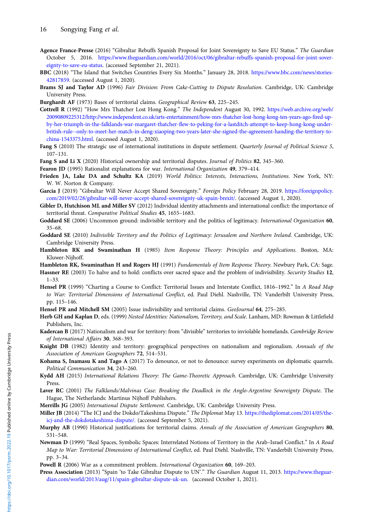- <span id="page-15-0"></span>Agence France-Presse (2016) "Gibraltar Rebuffs Spanish Proposal for Joint Sovereignty to Save EU Status." The Guardian October 5, 2016. [https://www.theguardian.com/world/2016/oct/06/gibraltar-rebuffs-spanish-proposal-for-joint-sover](https://www.theguardian.com/world/2016/oct/06/gibraltar-rebuffs-spanish-proposal-for-joint-sovereignty-to-save-eu-status)[eignty-to-save-eu-status](https://www.theguardian.com/world/2016/oct/06/gibraltar-rebuffs-spanish-proposal-for-joint-sovereignty-to-save-eu-status). (accessed September 21, 2021).
- BBC (2018) "The Island that Switches Countries Every Six Months." January 28, 2018. [https://www.bbc.com/news/stories-](https://www.bbc.com/news/stories-42817859)[42817859](https://www.bbc.com/news/stories-42817859). (accessed August 1, 2020).
- Brams SJ and Taylor AD (1996) Fair Division: From Cake-Cutting to Dispute Resolution. Cambridge, UK: Cambridge University Press.
- Burghardt AF (1973) Bases of territorial claims. Geographical Review 63, 225–245.
- Cottrell R (1992) "How Mrs Thatcher Lost Hong Kong." The Independent August 30, 1992. [https://web.archive.org/web/](https://web.archive.org/web/20090809225312/http://www.independent.co.uk/arts-entertainment/how-mrs-thatcher-lost-hong-kong-ten-years-ago-fired-up-by-her-triumph-in-the-falklands-war-margaret-thatcher-flew-to-peking-for-a-lastditch-attempt-to-keep-hong-kong-under-british-rule--only-to-meet-her-match-in-deng-xiaoping-two-years-later-she-signed-the-agreement-handing-the-territory-to-china-1543375.html) [20090809225312/http://www.independent.co.uk/arts-entertainment/how-mrs-thatcher-lost-hong-kong-ten-years-ago-fired-up](https://web.archive.org/web/20090809225312/http://www.independent.co.uk/arts-entertainment/how-mrs-thatcher-lost-hong-kong-ten-years-ago-fired-up-by-her-triumph-in-the-falklands-war-margaret-thatcher-flew-to-peking-for-a-lastditch-attempt-to-keep-hong-kong-under-british-rule--only-to-meet-her-match-in-deng-xiaoping-two-years-later-she-signed-the-agreement-handing-the-territory-to-china-1543375.html)[by-her-triumph-in-the-falklands-war-margaret-thatcher-flew-to-peking-for-a-lastditch-attempt-to-keep-hong-kong-under](https://web.archive.org/web/20090809225312/http://www.independent.co.uk/arts-entertainment/how-mrs-thatcher-lost-hong-kong-ten-years-ago-fired-up-by-her-triumph-in-the-falklands-war-margaret-thatcher-flew-to-peking-for-a-lastditch-attempt-to-keep-hong-kong-under-british-rule--only-to-meet-her-match-in-deng-xiaoping-two-years-later-she-signed-the-agreement-handing-the-territory-to-china-1543375.html)[british-rule--only-to-meet-her-match-in-deng-xiaoping-two-years-later-she-signed-the-agreement-handing-the-territory-to](https://web.archive.org/web/20090809225312/http://www.independent.co.uk/arts-entertainment/how-mrs-thatcher-lost-hong-kong-ten-years-ago-fired-up-by-her-triumph-in-the-falklands-war-margaret-thatcher-flew-to-peking-for-a-lastditch-attempt-to-keep-hong-kong-under-british-rule--only-to-meet-her-match-in-deng-xiaoping-two-years-later-she-signed-the-agreement-handing-the-territory-to-china-1543375.html)[china-1543375.html](https://web.archive.org/web/20090809225312/http://www.independent.co.uk/arts-entertainment/how-mrs-thatcher-lost-hong-kong-ten-years-ago-fired-up-by-her-triumph-in-the-falklands-war-margaret-thatcher-flew-to-peking-for-a-lastditch-attempt-to-keep-hong-kong-under-british-rule--only-to-meet-her-match-in-deng-xiaoping-two-years-later-she-signed-the-agreement-handing-the-territory-to-china-1543375.html). (accessed August 1, 2020).
- Fang S (2010) The strategic use of international institutions in dispute settlement. Quarterly Journal of Political Science 5, 107–131.
- Fang S and Li X (2020) Historical ownership and territorial disputes. Journal of Politics 82, 345-360.
- Fearon JD (1995) Rationalist explanations for war. International Organization 49, 379-414.
- Frieden JA, Lake DA and Schultz KA (2019) World Politics: Interests, Interactions, Institutions. New York, NY: W. W. Norton & Company.
- Garcia J (2019) "Gibraltar Will Never Accept Shared Sovereignty." Foreign Policy February 28, 2019. [https://foreignpolicy.](https://foreignpolicy.com/2019/02/28/gibraltar-will-never-accept-shared-sovereignty-uk-spain-brexit/) [com/2019/02/28/gibraltar-will-never-accept-shared-sovereignty-uk-spain-brexit/.](https://foreignpolicy.com/2019/02/28/gibraltar-will-never-accept-shared-sovereignty-uk-spain-brexit/) (accessed August 1, 2020).
- Gibler D, Hutchison ML and Miller SV (2012) Individual identity attachments and international conflict: the importance of territorial threat. Comparative Political Studies 45, 1655–1683.
- Goddard SE (2006) Uncommon ground: indivisible territory and the politics of legitimacy. International Organization 60, 35–68.
- Goddard SE (2010) Indivisible Territory and the Politics of Legitimacy: Jerusalem and Northern Ireland. Cambridge, UK: Cambridge University Press.
- Hambleton RK and Swaminathan H (1985) Item Response Theory: Principles and Applications. Boston, MA: Kluwer-Nijhoff.
- Hambleton RK, Swaminathan H and Rogers HJ (1991) Fundamentals of Item Response Theory. Newbury Park, CA: Sage.
- Hassner RE (2003) To halve and to hold: conflicts over sacred space and the problem of indivisibility. Security Studies 12, 1–33.
- Hensel PR (1999) "Charting a Course to Conflict: Territorial Issues and Interstate Conflict, 1816–1992." In A Road Map to War: Territorial Dimensions of International Conflict, ed. Paul Diehl. Nashville, TN: Vanderbilt University Press, pp. 115–146.
- Hensel PR and Mitchell SM (2005) Issue indivisibility and territorial claims. GeoJournal 64, 275-285.
- Herb GH and Kaplan D, eds. (1999) Nested Identities: Nationalism, Territory, and Scale. Lanham, MD: Rowman & Littlefield Publishers, Inc.
- Kadercan B (2017) Nationalism and war for territory: from "divisible" territories to inviolable homelands. Cambridge Review of International Affairs 30, 368–393.
- Knight DB (1982) Identity and territory: geographical perspectives on nationalism and regionalism. Annuals of the Association of American Geographers 72, 514–531.
- Kohama S, Inamasu K and Tago A (2017) To denounce, or not to denounce: survey experiments on diplomatic quarrels. Political Communication 34, 243–260.
- Kydd AH (2015) International Relations Theory: The Game-Theoretic Approach. Cambridge, UK: Cambridge University Press.
- Laver RC (2001) The Falklands/Malvinas Case: Breaking the Deadlock in the Anglo-Argentine Sovereignty Dispute. The Hague, The Netherlands: Martinus Nijhoff Publishers.
- Merrills JG (2005) International Dispute Settlement. Cambridge, UK: Cambridge University Press.
- Miller JB (2014) "The ICJ and the Dokdo/Takeshima Dispute." The Diplomat May 13. [https://thediplomat.com/2014/05/the](https://thediplomat.com/2014/05/the-icj-and-the-dokdotakeshima-dispute/.)[icj-and-the-dokdotakeshima-dispute/.](https://thediplomat.com/2014/05/the-icj-and-the-dokdotakeshima-dispute/.) (accessed September 5, 2021).
- Murphy AB (1990) Historical justifications for territorial claims. Annals of the Association of American Geographers 80, 531–548.
- Newman D (1999) "Real Spaces, Symbolic Spaces: Interrelated Notions of Territory in the Arab-Israel Conflict." In A Road Map to War: Territorial Dimensions of International Conflict, ed. Paul Diehl. Nashville, TN: Vanderbilt University Press, pp. 3–34.
- Powell R (2006) War as a commitment problem. International Organization 60, 169–203.
- Press Association (2013) "Spain 'to Take Gibraltar Dispute to UN'." The Guardian August 11, 2013. [https://www.theguar](https://www.theguardian.com/world/2013/aug/11/spain-gibraltar-dispute-uk-un.)[dian.com/world/2013/aug/11/spain-gibraltar-dispute-uk-un.](https://www.theguardian.com/world/2013/aug/11/spain-gibraltar-dispute-uk-un.) (accessed October 1, 2021).